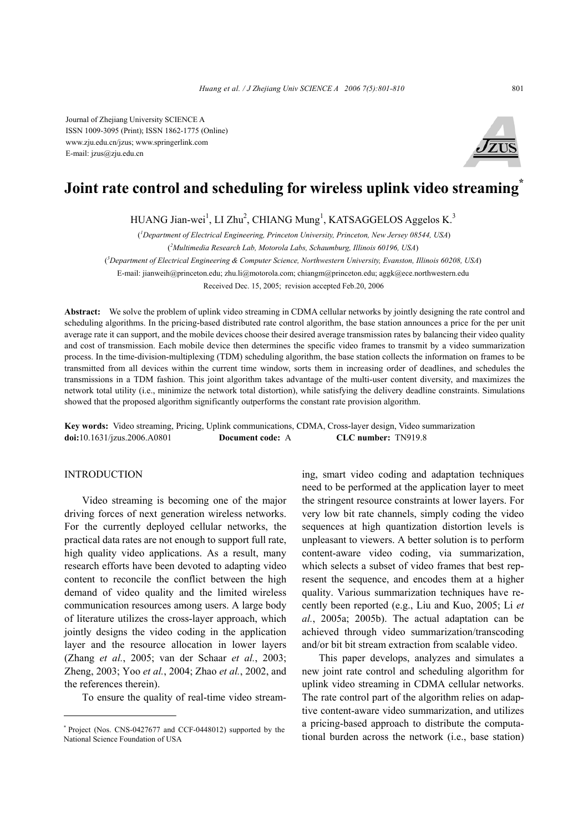

# **Joint rate control and scheduling for wireless uplink video streaming\***

HUANG Jian-wei<sup>1</sup>, LI Zhu<sup>2</sup>, CHIANG Mung<sup>1</sup>, KATSAGGELOS Aggelos K.<sup>3</sup>

( *1 Department of Electrical Engineering, Princeton University, Princeton, New Jersey 08544, USA*) ( *2 Multimedia Research Lab, Motorola Labs, Schaumburg, Illinois 60196, USA*) ( *3 Department of Electrical Engineering & Computer Science, Northwestern University, Evanston, Illinois 60208, USA*) E-mail: jianweih@princeton.edu; zhu.li@motorola.com; chiangm@princeton.edu; aggk@ece.northwestern.edu Received Dec. 15, 2005; revision accepted Feb.20, 2006

**Abstract:** We solve the problem of uplink video streaming in CDMA cellular networks by jointly designing the rate control and scheduling algorithms. In the pricing-based distributed rate control algorithm, the base station announces a price for the per unit average rate it can support, and the mobile devices choose their desired average transmission rates by balancing their video quality and cost of transmission. Each mobile device then determines the specific video frames to transmit by a video summarization process. In the time-division-multiplexing (TDM) scheduling algorithm, the base station collects the information on frames to be transmitted from all devices within the current time window, sorts them in increasing order of deadlines, and schedules the transmissions in a TDM fashion. This joint algorithm takes advantage of the multi-user content diversity, and maximizes the network total utility (i.e., minimize the network total distortion), while satisfying the delivery deadline constraints. Simulations showed that the proposed algorithm significantly outperforms the constant rate provision algorithm.

**Key words:** Video streaming, Pricing, Uplink communications, CDMA, Cross-layer design, Video summarization **doi:**10.1631/jzus.2006.A0801 **Document code:** A **CLC number:** TN919.8

#### INTRODUCTION

Video streaming is becoming one of the major driving forces of next generation wireless networks. For the currently deployed cellular networks, the practical data rates are not enough to support full rate, high quality video applications. As a result, many research efforts have been devoted to adapting video content to reconcile the conflict between the high demand of video quality and the limited wireless communication resources among users. A large body of literature utilizes the cross-layer approach, which jointly designs the video coding in the application layer and the resource allocation in lower layers (Zhang *et al.*, 2005; van der Schaar *et al.*, 2003; Zheng, 2003; Yoo *et al.*, 2004; Zhao *et al.*, 2002, and the references therein).

To ensure the quality of real-time video stream-

ing, smart video coding and adaptation techniques need to be performed at the application layer to meet the stringent resource constraints at lower layers. For very low bit rate channels, simply coding the video sequences at high quantization distortion levels is unpleasant to viewers. A better solution is to perform content-aware video coding, via summarization, which selects a subset of video frames that best represent the sequence, and encodes them at a higher quality. Various summarization techniques have recently been reported (e.g., Liu and Kuo, 2005; Li *et al.*, 2005a; 2005b). The actual adaptation can be achieved through video summarization/transcoding and/or bit bit stream extraction from scalable video.

This paper develops, analyzes and simulates a new joint rate control and scheduling algorithm for uplink video streaming in CDMA cellular networks. The rate control part of the algorithm relies on adaptive content-aware video summarization, and utilizes a pricing-based approach to distribute the computational burden across the network (i.e., base station)

<sup>\*</sup> Project (Nos. CNS-0427677 and CCF-0448012) supported by the National Science Foundation of USA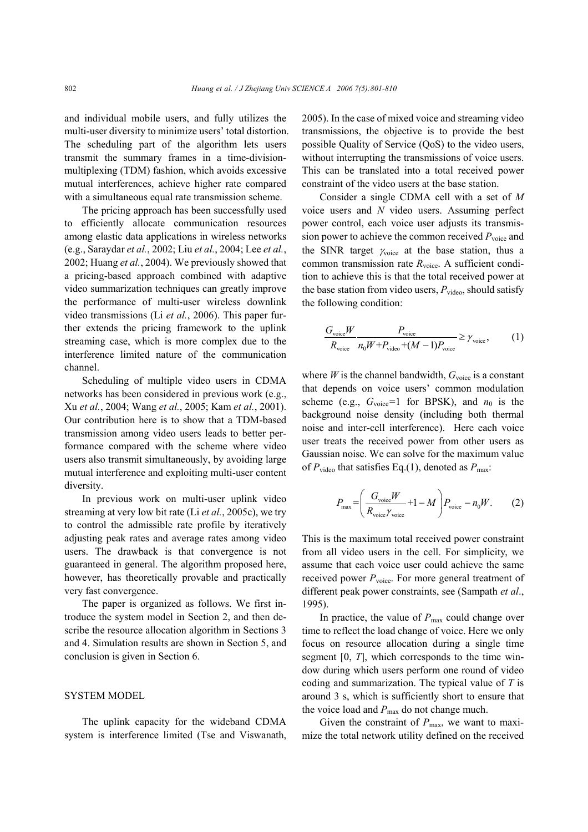and individual mobile users, and fully utilizes the multi-user diversity to minimize users' total distortion. The scheduling part of the algorithm lets users transmit the summary frames in a time-divisionmultiplexing (TDM) fashion, which avoids excessive mutual interferences, achieve higher rate compared with a simultaneous equal rate transmission scheme.

The pricing approach has been successfully used to efficiently allocate communication resources among elastic data applications in wireless networks (e.g., Saraydar *et al.*, 2002; Liu *et al.*, 2004; Lee *et al.*, 2002; Huang *et al.*, 2004). We previously showed that a pricing-based approach combined with adaptive video summarization techniques can greatly improve the performance of multi-user wireless downlink video transmissions (Li *et al.*, 2006). This paper further extends the pricing framework to the uplink streaming case, which is more complex due to the interference limited nature of the communication channel.

Scheduling of multiple video users in CDMA networks has been considered in previous work (e.g., Xu *et al.*, 2004; Wang *et al.*, 2005; Kam *et al.*, 2001). Our contribution here is to show that a TDM-based transmission among video users leads to better performance compared with the scheme where video users also transmit simultaneously, by avoiding large mutual interference and exploiting multi-user content diversity.

In previous work on multi-user uplink video streaming at very low bit rate (Li *et al.*, 2005c), we try to control the admissible rate profile by iteratively adjusting peak rates and average rates among video users. The drawback is that convergence is not guaranteed in general. The algorithm proposed here, however, has theoretically provable and practically very fast convergence.

The paper is organized as follows. We first introduce the system model in Section 2, and then describe the resource allocation algorithm in Sections 3 and 4. Simulation results are shown in Section 5, and conclusion is given in Section 6.

# SYSTEM MODEL

The uplink capacity for the wideband CDMA system is interference limited (Tse and Viswanath, 2005). In the case of mixed voice and streaming video transmissions, the objective is to provide the best possible Quality of Service (QoS) to the video users, without interrupting the transmissions of voice users. This can be translated into a total received power constraint of the video users at the base station.

Consider a single CDMA cell with a set of *M* voice users and *N* video users. Assuming perfect power control, each voice user adjusts its transmission power to achieve the common received  $P_{\text{voice}}$  and the SINR target  $\gamma_{\text{vice}}$  at the base station, thus a common transmission rate  $R_{\text{voice}}$ . A sufficient condition to achieve this is that the total received power at the base station from video users,  $P_{\text{video}}$ , should satisfy the following condition:

$$
\frac{G_{\text{voice}}W}{R_{\text{voice}}} \frac{P_{\text{voice}}}{n_0 W + P_{\text{video}} + (M - 1)P_{\text{voice}}} \ge \gamma_{\text{voice}}\,,\tag{1}
$$

where *W* is the channel bandwidth,  $G_{\text{voice}}$  is a constant that depends on voice users' common modulation scheme (e.g.,  $G_{\text{voice}}=1$  for BPSK), and  $n_0$  is the background noise density (including both thermal noise and inter-cell interference). Here each voice user treats the received power from other users as Gaussian noise. We can solve for the maximum value of  $P_{\text{video}}$  that satisfies Eq.(1), denoted as  $P_{\text{max}}$ .

$$
P_{\text{max}} = \left(\frac{G_{\text{voice}}W}{R_{\text{voice}}\gamma_{\text{vice}}} + 1 - M\right)P_{\text{voice}} - n_0W.
$$
 (2)

This is the maximum total received power constraint from all video users in the cell. For simplicity, we assume that each voice user could achieve the same received power  $P_{\text{voice}}$ . For more general treatment of different peak power constraints, see (Sampath *et al*., 1995).

In practice, the value of  $P_{\text{max}}$  could change over time to reflect the load change of voice. Here we only focus on resource allocation during a single time segment [0, *T*], which corresponds to the time window during which users perform one round of video coding and summarization. The typical value of *T* is around 3 s, which is sufficiently short to ensure that the voice load and  $P_{\text{max}}$  do not change much.

Given the constraint of  $P_{\text{max}}$ , we want to maximize the total network utility defined on the received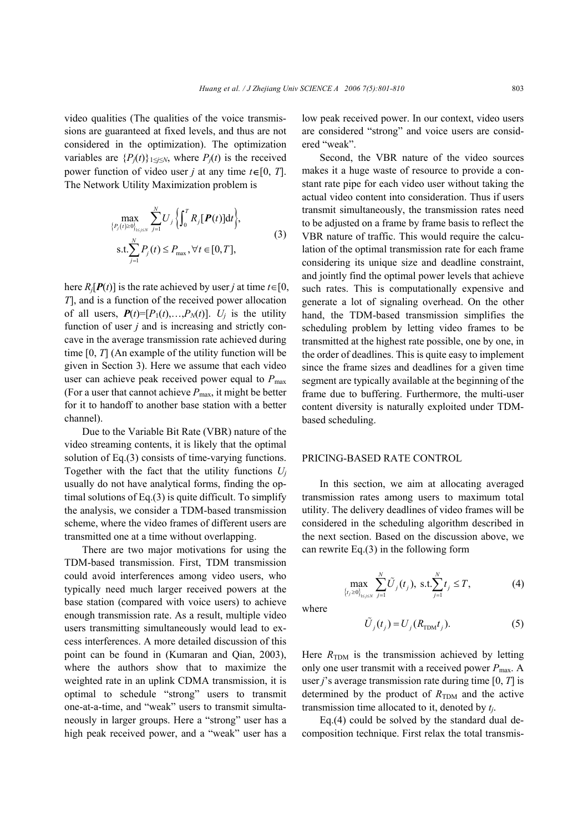video qualities (The qualities of the voice transmissions are guaranteed at fixed levels, and thus are not considered in the optimization). The optimization variables are  ${P_j(t)}_{1 \leq j \leq N}$ , where  $P_j(t)$  is the received power function of video user *j* at any time *t*∈[0, *T*]. The Network Utility Maximization problem is

$$
\max_{\{P_j(t)\geq 0\}_{1\leq j\leq N}} \sum_{j=1}^N U_j \left\{ \int_0^T R_j [\bm{P}(t)] \mathrm{d}t \right\},\newline \text{s.t.} \sum_{j=1}^N P_j(t) \leq P_{\text{max}}, \forall t \in [0, T],
$$
\n(3)

here  $R_i[P(t)]$  is the rate achieved by user *j* at time  $t \in [0, 1]$ *T*], and is a function of the received power allocation of all users,  $P(t) = [P_1(t),...,P_N(t)]$ .  $U_i$  is the utility function of user *j* and is increasing and strictly concave in the average transmission rate achieved during time [0, *T*] (An example of the utility function will be given in Section 3). Here we assume that each video user can achieve peak received power equal to  $P_{\text{max}}$ (For a user that cannot achieve  $P_{\text{max}}$ , it might be better for it to handoff to another base station with a better channel).

Due to the Variable Bit Rate (VBR) nature of the video streaming contents, it is likely that the optimal solution of Eq.(3) consists of time-varying functions. Together with the fact that the utility functions *Uj* usually do not have analytical forms, finding the optimal solutions of Eq.(3) is quite difficult. To simplify the analysis, we consider a TDM-based transmission scheme, where the video frames of different users are transmitted one at a time without overlapping.

There are two major motivations for using the TDM-based transmission. First, TDM transmission could avoid interferences among video users, who typically need much larger received powers at the base station (compared with voice users) to achieve enough transmission rate. As a result, multiple video users transmitting simultaneously would lead to excess interferences. A more detailed discussion of this point can be found in (Kumaran and Qian, 2003), where the authors show that to maximize the weighted rate in an uplink CDMA transmission, it is optimal to schedule "strong" users to transmit one-at-a-time, and "weak" users to transmit simultaneously in larger groups. Here a "strong" user has a high peak received power, and a "weak" user has a

low peak received power. In our context, video users are considered "strong" and voice users are considered "weak".

Second, the VBR nature of the video sources makes it a huge waste of resource to provide a constant rate pipe for each video user without taking the actual video content into consideration. Thus if users transmit simultaneously, the transmission rates need to be adjusted on a frame by frame basis to reflect the VBR nature of traffic. This would require the calculation of the optimal transmission rate for each frame considering its unique size and deadline constraint, and jointly find the optimal power levels that achieve such rates. This is computationally expensive and generate a lot of signaling overhead. On the other hand, the TDM-based transmission simplifies the scheduling problem by letting video frames to be transmitted at the highest rate possible, one by one, in the order of deadlines. This is quite easy to implement since the frame sizes and deadlines for a given time segment are typically available at the beginning of the frame due to buffering. Furthermore, the multi-user content diversity is naturally exploited under TDMbased scheduling.

#### PRICING-BASED RATE CONTROL

In this section, we aim at allocating averaged transmission rates among users to maximum total utility. The delivery deadlines of video frames will be considered in the scheduling algorithm described in the next section. Based on the discussion above, we can rewrite Eq.(3) in the following form

$$
\max_{\{t_j \ge 0\}} \sum_{j=1}^N \tilde{U}_j(t_j), \text{ s.t.} \sum_{j=1}^N t_j \le T, \tag{4}
$$

where

$$
\tilde{U}_j(t_j) = U_j(R_{\text{TDM}}t_j). \tag{5}
$$

Here  $R_{\text{TDM}}$  is the transmission achieved by letting only one user transmit with a received power  $P_{\text{max}}$ . A user *j*'s average transmission rate during time [0, *T*] is determined by the product of  $R_{\text{TDM}}$  and the active transmission time allocated to it, denoted by *tj*.

Eq.(4) could be solved by the standard dual decomposition technique. First relax the total transmis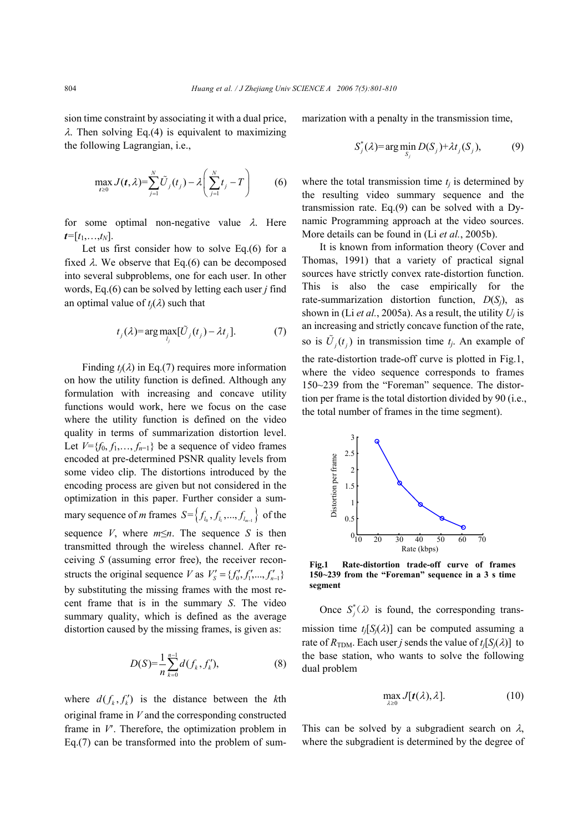sion time constraint by associating it with a dual price,  $\lambda$ . Then solving Eq.(4) is equivalent to maximizing the following Lagrangian, i.e.,

$$
\max_{t \ge 0} J(t, \lambda) = \sum_{j=1}^{N} \tilde{U}_j(t_j) - \lambda \left( \sum_{j=1}^{N} t_j - T \right)
$$
 (6)

for some optimal non-negative value  $\lambda$ . Here  $t = [t_1, \ldots, t_N].$ 

Let us first consider how to solve Eq.(6) for a fixed  $\lambda$ . We observe that Eq.(6) can be decomposed into several subproblems, one for each user. In other words, Eq.(6) can be solved by letting each user *j* find an optimal value of  $t_i(\lambda)$  such that

$$
t_j(\lambda) = \arg \max_{l_j} [\tilde{U}_j(t_j) - \lambda t_j]. \tag{7}
$$

Finding  $t_i(\lambda)$  in Eq.(7) requires more information on how the utility function is defined. Although any formulation with increasing and concave utility functions would work, here we focus on the case where the utility function is defined on the video quality in terms of summarization distortion level. Let  $V = \{f_0, f_1, \ldots, f_{n-1}\}\)$  be a sequence of video frames encoded at pre-determined PSNR quality levels from some video clip. The distortions introduced by the encoding process are given but not considered in the optimization in this paper. Further consider a summary sequence of *m* frames  $S = \{f_{l_0}, f_{l_1}, ..., f_{l_{n-1}}\}$  of the sequence *V*, where  $m \leq n$ . The sequence *S* is then transmitted through the wireless channel. After receiving *S* (assuming error free), the receiver reconstructs the original sequence *V* as  $V'_s = \{f'_0, f'_1, ..., f'_{n-1}\}$ by substituting the missing frames with the most recent frame that is in the summary *S*. The video summary quality, which is defined as the average distortion caused by the missing frames, is given as:

$$
D(S) = \frac{1}{n} \sum_{k=0}^{n-1} d(f_k, f'_k),
$$
 (8)

where  $d(f_k, f'_k)$  is the distance between the *k*th original frame in *V* and the corresponding constructed frame in *V*′. Therefore, the optimization problem in Eq.(7) can be transformed into the problem of summarization with a penalty in the transmission time,

$$
S_j^*(\lambda) = \arg\min_{S_j} D(S_j) + \lambda t_j(S_j), \tag{9}
$$

where the total transmission time  $t_i$  is determined by the resulting video summary sequence and the transmission rate. Eq.(9) can be solved with a Dynamic Programming approach at the video sources. More details can be found in (Li *et al.*, 2005b).

It is known from information theory (Cover and Thomas, 1991) that a variety of practical signal sources have strictly convex rate-distortion function. This is also the case empirically for the rate-summarization distortion function,  $D(S_i)$ , as shown in (Li *et al.*, 2005a). As a result, the utility *Uj* is an increasing and strictly concave function of the rate, so is  $\tilde{U}_i(t_i)$  in transmission time  $t_i$ . An example of the rate-distortion trade-off curve is plotted in Fig.1, where the video sequence corresponds to frames 150~239 from the "Foreman" sequence. The distortion per frame is the total distortion divided by 90 (i.e., the total number of frames in the time segment).



**Fig.1 Rate-distortion trade-off curve of frames 150~239 from the "Foreman" sequence in a 3 s time segment** 

Once  $S_j^*(\lambda)$  is found, the corresponding transmission time  $t_i[S_i(\lambda)]$  can be computed assuming a rate of  $R_{\text{TDM}}$ . Each user *j* sends the value of  $t_i[S_i(\lambda)]$  to the base station, who wants to solve the following dual problem

$$
\max_{\lambda \ge 0} J[t(\lambda), \lambda]. \tag{10}
$$

This can be solved by a subgradient search on  $\lambda$ , where the subgradient is determined by the degree of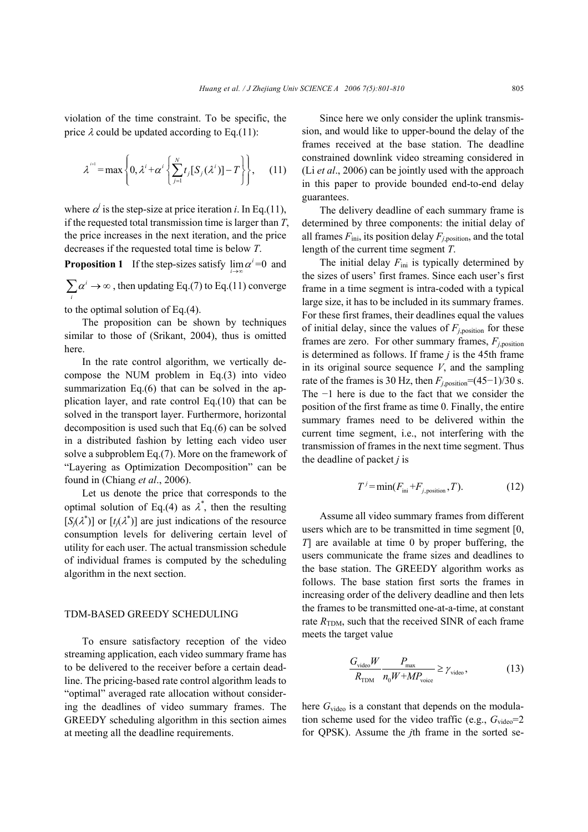violation of the time constraint. To be specific, the price  $\lambda$  could be updated according to Eq.(11):

$$
\lambda^{i+1} = \max\left\{0, \lambda^i + \alpha^i \left\{ \sum_{j=1}^N t_j [S_j(\lambda^i)] - T \right\} \right\},\qquad(11)
$$

where  $\alpha^i$  is the step-size at price iteration *i*. In Eq.(11), if the requested total transmission time is larger than *T*, the price increases in the next iteration, and the price decreases if the requested total time is below *T*.

**Proposition 1** If the step-sizes satisfy  $\lim_{i \to \infty} \alpha^i = 0$  and  $\sum_i \alpha^i \to \infty$  $\alpha^i \rightarrow \infty$ , then updating Eq.(7) to Eq.(11) converge

to the optimal solution of Eq.(4).

The proposition can be shown by techniques similar to those of (Srikant, 2004), thus is omitted here.

In the rate control algorithm, we vertically decompose the NUM problem in Eq.(3) into video summarization Eq.(6) that can be solved in the application layer, and rate control Eq.(10) that can be solved in the transport layer. Furthermore, horizontal decomposition is used such that Eq.(6) can be solved in a distributed fashion by letting each video user solve a subproblem Eq.(7). More on the framework of "Layering as Optimization Decomposition" can be found in (Chiang *et al*., 2006).

Let us denote the price that corresponds to the optimal solution of Eq.(4) as  $\lambda^*$ , then the resulting  $[S_j(\lambda^*)]$  or  $[t_j(\lambda^*)]$  are just indications of the resource consumption levels for delivering certain level of utility for each user. The actual transmission schedule of individual frames is computed by the scheduling algorithm in the next section.

### TDM-BASED GREEDY SCHEDULING

To ensure satisfactory reception of the video streaming application, each video summary frame has to be delivered to the receiver before a certain deadline. The pricing-based rate control algorithm leads to "optimal" averaged rate allocation without considering the deadlines of video summary frames. The GREEDY scheduling algorithm in this section aimes at meeting all the deadline requirements.

Since here we only consider the uplink transmission, and would like to upper-bound the delay of the frames received at the base station. The deadline constrained downlink video streaming considered in (Li *et al*., 2006) can be jointly used with the approach in this paper to provide bounded end-to-end delay guarantees.

The delivery deadline of each summary frame is determined by three components: the initial delay of all frames  $F_{\text{ini}}$ , its position delay  $F_{j,\text{position}}$ , and the total length of the current time segment *T*.

The initial delay  $F_{\text{ini}}$  is typically determined by the sizes of users' first frames. Since each user's first frame in a time segment is intra-coded with a typical large size, it has to be included in its summary frames. For these first frames, their deadlines equal the values of initial delay, since the values of  $F_{j,position}$  for these frames are zero. For other summary frames,  $F_{j,position}$ is determined as follows. If frame *j* is the 45th frame in its original source sequence  $V$ , and the sampling rate of the frames is 30 Hz, then  $F_{j, \text{position}} = (45-1)/30$  s. The −1 here is due to the fact that we consider the position of the first frame as time 0. Finally, the entire summary frames need to be delivered within the current time segment, i.e., not interfering with the transmission of frames in the next time segment. Thus the deadline of packet *j* is

$$
T^j = \min(F_{\text{ini}} + F_{j, \text{position}}, T). \tag{12}
$$

Assume all video summary frames from different users which are to be transmitted in time segment [0, *T*] are available at time 0 by proper buffering, the users communicate the frame sizes and deadlines to the base station. The GREEDY algorithm works as follows. The base station first sorts the frames in increasing order of the delivery deadline and then lets the frames to be transmitted one-at-a-time, at constant rate  $R_{\text{TDM}}$ , such that the received SINR of each frame meets the target value

$$
\frac{G_{\text{video}}W}{R_{\text{TDM}}} \frac{P_{\text{max}}}{n_0 W + MP_{\text{vice}}} \ge \gamma_{\text{video}},\tag{13}
$$

here  $G_{video}$  is a constant that depends on the modulation scheme used for the video traffic (e.g.,  $G_{\text{video}} = 2$ for QPSK). Assume the *j*th frame in the sorted se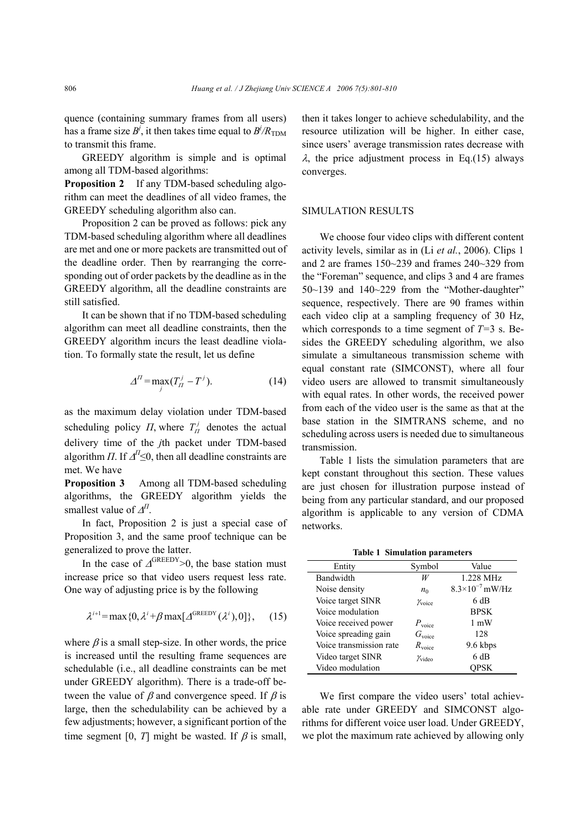quence (containing summary frames from all users) has a frame size  $B^j$ , it then takes time equal to  $B^j/R_{\text{TDM}}$ to transmit this frame.

GREEDY algorithm is simple and is optimal among all TDM-based algorithms:

**Proposition 2** If any TDM-based scheduling algorithm can meet the deadlines of all video frames, the GREEDY scheduling algorithm also can.

Proposition 2 can be proved as follows: pick any TDM-based scheduling algorithm where all deadlines are met and one or more packets are transmitted out of the deadline order. Then by rearranging the corresponding out of order packets by the deadline as in the GREEDY algorithm, all the deadline constraints are still satisfied.

It can be shown that if no TDM-based scheduling algorithm can meet all deadline constraints, then the GREEDY algorithm incurs the least deadline violation. To formally state the result, let us define

$$
\Delta^{\Pi} = \max_{i} (T_{\Pi}^{j} - T^{j}). \tag{14}
$$

as the maximum delay violation under TDM-based scheduling policy  $\Pi$ , where  $T_{\Pi}^{j}$  denotes the actual delivery time of the *j*th packet under TDM-based algorithm *Π*. If  $\Delta^{n} \leq 0$ , then all deadline constraints are met. We have

**Proposition 3** Among all TDM-based scheduling algorithms, the GREEDY algorithm yields the smallest value of  $\Delta^{\Pi}$ .

In fact, Proposition 2 is just a special case of Proposition 3, and the same proof technique can be generalized to prove the latter.

In the case of  $\Delta^{\text{GREEDY}}$  > 0, the base station must increase price so that video users request less rate. One way of adjusting price is by the following

$$
\lambda^{i+1} = \max\{0, \lambda^i + \beta \max[\Delta^{\text{GREEDY}}(\lambda^i), 0]\},\qquad(15)
$$

where  $\beta$  is a small step-size. In other words, the price is increased until the resulting frame sequences are schedulable (i.e., all deadline constraints can be met under GREEDY algorithm). There is a trade-off between the value of  $\beta$  and convergence speed. If  $\beta$  is large, then the schedulability can be achieved by a few adjustments; however, a significant portion of the time segment [0, T] might be wasted. If  $\beta$  is small,

then it takes longer to achieve schedulability, and the resource utilization will be higher. In either case, since users' average transmission rates decrease with  $\lambda$ , the price adjustment process in Eq.(15) always converges.

# SIMULATION RESULTS

We choose four video clips with different content activity levels, similar as in (Li *et al.*, 2006). Clips 1 and 2 are frames 150~239 and frames 240~329 from the "Foreman" sequence, and clips 3 and 4 are frames 50~139 and 140~229 from the "Mother-daughter" sequence, respectively. There are 90 frames within each video clip at a sampling frequency of 30 Hz, which corresponds to a time segment of *T=*3 s. Besides the GREEDY scheduling algorithm, we also simulate a simultaneous transmission scheme with equal constant rate (SIMCONST), where all four video users are allowed to transmit simultaneously with equal rates. In other words, the received power from each of the video user is the same as that at the base station in the SIMTRANS scheme, and no scheduling across users is needed due to simultaneous transmission.

Table 1 lists the simulation parameters that are kept constant throughout this section. These values are just chosen for illustration purpose instead of being from any particular standard, and our proposed algorithm is applicable to any version of CDMA networks.

**Table 1 Simulation parameters** 

| Entity                  | Symbol                  | Value                      |  |
|-------------------------|-------------------------|----------------------------|--|
| Bandwidth               | W                       | 1.228 MHz                  |  |
| Noise density           | $n_0$                   | $8.3 \times 10^{-7}$ mW/Hz |  |
| Voice target SINR       | $\chi_{\rm oice}$       | 6 dB                       |  |
| Voice modulation        |                         | <b>BPSK</b>                |  |
| Voice received power    | $P_{\rm voice}$         | 1 mW                       |  |
| Voice spreading gain    | $G_{\text{voice}}$      | 12.8                       |  |
| Voice transmission rate | $R_{\rm voice}$         | 9.6 kbps                   |  |
| Video target SINR       | $\chi$ <sub>video</sub> | 6 dB                       |  |
| Video modulation        |                         | <b>OPSK</b>                |  |
|                         |                         |                            |  |

We first compare the video users' total achievable rate under GREEDY and SIMCONST algorithms for different voice user load. Under GREEDY, we plot the maximum rate achieved by allowing only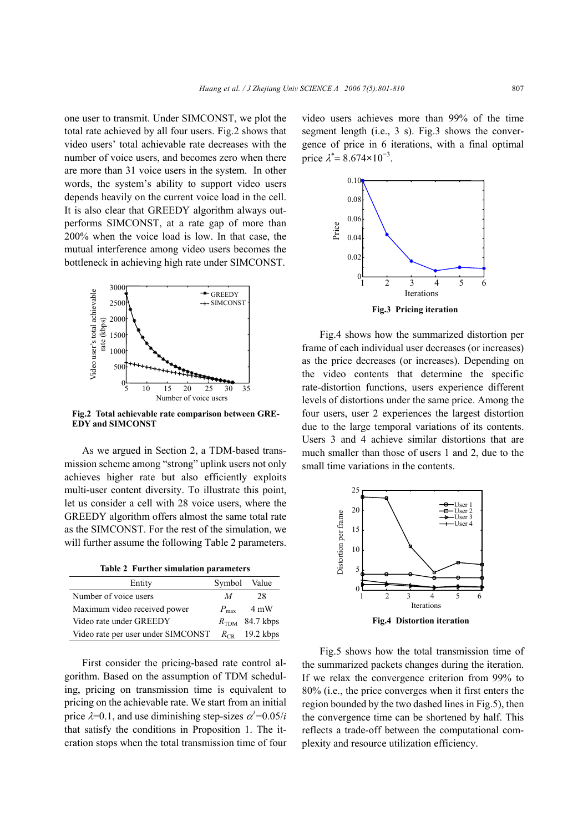one user to transmit. Under SIMCONST, we plot the total rate achieved by all four users. Fig.2 shows that video users' total achievable rate decreases with the number of voice users, and becomes zero when there are more than 31 voice users in the system. In other words, the system's ability to support video users depends heavily on the current voice load in the cell. It is also clear that GREEDY algorithm always outperforms SIMCONST, at a rate gap of more than 200% when the voice load is low. In that case, the mutual interference among video users becomes the bottleneck in achieving high rate under SIMCONST.



**Fig.2 Total achievable rate comparison between GRE-EDY and SIMCONST** 

As we argued in Section 2, a TDM-based transmission scheme among "strong" uplink users not only achieves higher rate but also efficiently exploits multi-user content diversity. To illustrate this point, let us consider a cell with 28 voice users, where the GREEDY algorithm offers almost the same total rate as the SIMCONST. For the rest of the simulation, we will further assume the following Table 2 parameters.

**Table 2 Further simulation parameters** 

| Entity                             |                  | Symbol Value               |
|------------------------------------|------------------|----------------------------|
| Number of voice users              | M                | 28                         |
| Maximum video received power       | $P_{\text{max}}$ | 4 mW                       |
| Video rate under GREEDY            |                  | $R_{\text{TDM}}$ 84.7 kbps |
| Video rate per user under SIMCONST |                  | $R_{CR}$ 19.2 kbps         |

First consider the pricing-based rate control algorithm. Based on the assumption of TDM scheduling, pricing on transmission time is equivalent to pricing on the achievable rate. We start from an initial price  $\lambda=0.1$ , and use diminishing step-sizes  $\alpha^{i}=0.05/i$ that satisfy the conditions in Proposition 1. The iteration stops when the total transmission time of four

video users achieves more than 99% of the time segment length (i.e., 3 s). Fig.3 shows the convergence of price in 6 iterations, with a final optimal price  $\lambda^* = 8.674 \times 10^{-3}$ .



Fig.4 shows how the summarized distortion per frame of each individual user decreases (or increases) as the price decreases (or increases). Depending on the video contents that determine the specific rate-distortion functions, users experience different levels of distortions under the same price. Among the four users, user 2 experiences the largest distortion due to the large temporal variations of its contents. Users 3 and 4 achieve similar distortions that are much smaller than those of users 1 and 2, due to the small time variations in the contents.



Fig.5 shows how the total transmission time of the summarized packets changes during the iteration. If we relax the convergence criterion from 99% to 80% (i.e., the price converges when it first enters the region bounded by the two dashed lines in Fig.5), then the convergence time can be shortened by half. This reflects a trade-off between the computational complexity and resource utilization efficiency.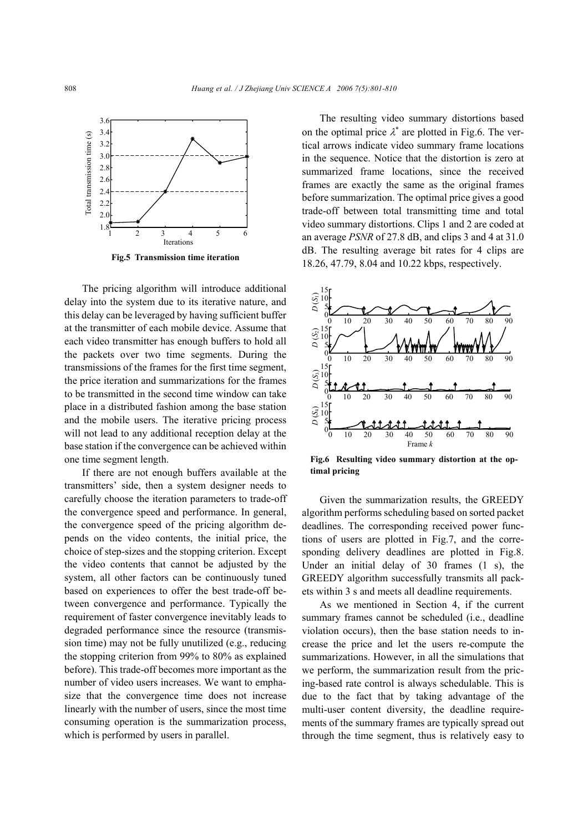

The pricing algorithm will introduce additional delay into the system due to its iterative nature, and this delay can be leveraged by having sufficient buffer at the transmitter of each mobile device. Assume that each video transmitter has enough buffers to hold all the packets over two time segments. During the transmissions of the frames for the first time segment, the price iteration and summarizations for the frames to be transmitted in the second time window can take place in a distributed fashion among the base station and the mobile users. The iterative pricing process will not lead to any additional reception delay at the base station if the convergence can be achieved within one time segment length.

If there are not enough buffers available at the transmitters' side, then a system designer needs to carefully choose the iteration parameters to trade-off the convergence speed and performance. In general, the convergence speed of the pricing algorithm depends on the video contents, the initial price, the choice of step-sizes and the stopping criterion. Except the video contents that cannot be adjusted by the system, all other factors can be continuously tuned based on experiences to offer the best trade-off between convergence and performance. Typically the requirement of faster convergence inevitably leads to degraded performance since the resource (transmission time) may not be fully unutilized (e.g., reducing the stopping criterion from 99% to 80% as explained before). This trade-off becomes more important as the number of video users increases. We want to emphasize that the convergence time does not increase linearly with the number of users, since the most time consuming operation is the summarization process, which is performed by users in parallel.

The resulting video summary distortions based on the optimal price  $\lambda^*$  are plotted in Fig.6. The vertical arrows indicate video summary frame locations in the sequence. Notice that the distortion is zero at summarized frame locations, since the received frames are exactly the same as the original frames before summarization. The optimal price gives a good trade-off between total transmitting time and total video summary distortions. Clips 1 and 2 are coded at an average *PSNR* of 27.8 dB, and clips 3 and 4 at 31.0 dB. The resulting average bit rates for 4 clips are 18.26, 47.79, 8.04 and 10.22 kbps, respectively.



**Fig.6 Resulting video summary distortion at the optimal pricing** 

Given the summarization results, the GREEDY algorithm performs scheduling based on sorted packet deadlines. The corresponding received power functions of users are plotted in Fig.7, and the corresponding delivery deadlines are plotted in Fig.8. Under an initial delay of 30 frames (1 s), the GREEDY algorithm successfully transmits all packets within 3 s and meets all deadline requirements.

As we mentioned in Section 4, if the current summary frames cannot be scheduled (i.e., deadline violation occurs), then the base station needs to increase the price and let the users re-compute the summarizations. However, in all the simulations that we perform, the summarization result from the pricing-based rate control is always schedulable. This is due to the fact that by taking advantage of the multi-user content diversity, the deadline requirements of the summary frames are typically spread out through the time segment, thus is relatively easy to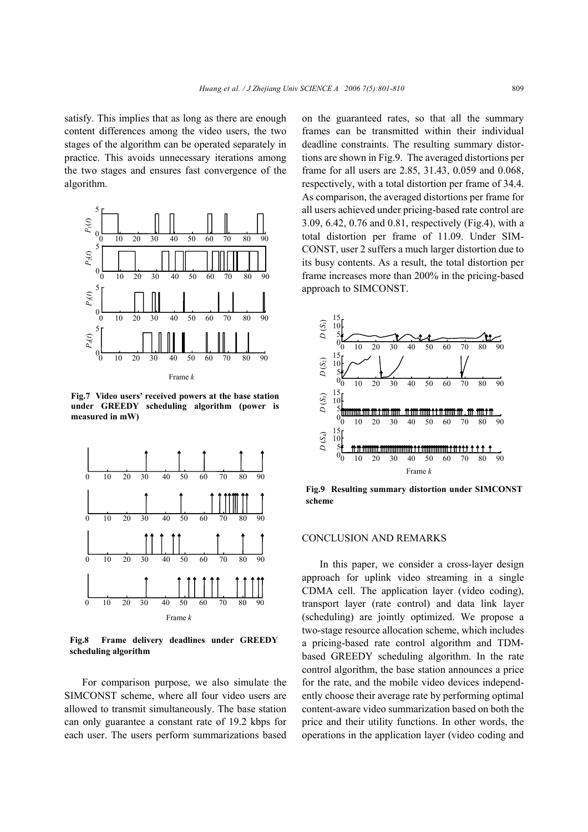satisfy. This implies that as long as there are enough content differences among the video users, the two stages of the algorithm can be operated separately in practice. This avoids unnecessary iterations among the two stages and ensures fast convergence of the algorithm.



**Fig.7 Video users' received powers at the base station under GREEDY scheduling algorithm (power is measured in mW)**



**Fig.8 Frame delivery deadlines under GREEDY scheduling algorithm** 

For comparison purpose, we also simulate the SIMCONST scheme, where all four video users are allowed to transmit simultaneously. The base station can only guarantee a constant rate of 19.2 kbps for each user. The users perform summarizations based on the guaranteed rates, so that all the summary frames can be transmitted within their individual deadline constraints. The resulting summary distortions are shown in Fig.9. The averaged distortions per frame for all users are 2.85, 31.43, 0.059 and 0.068, respectively, with a total distortion per frame of 34.4. As comparison, the averaged distortions per frame for all users achieved under pricing-based rate control are 3.09, 6.42, 0.76 and 0.81, respectively (Fig.4), with a total distortion per frame of 11.09. Under SIM-CONST, user 2 suffers a much larger distortion due to its busy contents. As a result, the total distortion per frame increases more than 200% in the pricing-based approach to SIMCONST.



**Fig.9 Resulting summary distortion under SIMCONST scheme** 

### CONCLUSION AND REMARKS

In this paper, we consider a cross-layer design approach for uplink video streaming in a single CDMA cell. The application layer (video coding), transport layer (rate control) and data link layer (scheduling) are jointly optimized. We propose a two-stage resource allocation scheme, which includes a pricing-based rate control algorithm and TDMbased GREEDY scheduling algorithm. In the rate control algorithm, the base station announces a price for the rate, and the mobile video devices independently choose their average rate by performing optimal content-aware video summarization based on both the price and their utility functions. In other words, the operations in the application layer (video coding and